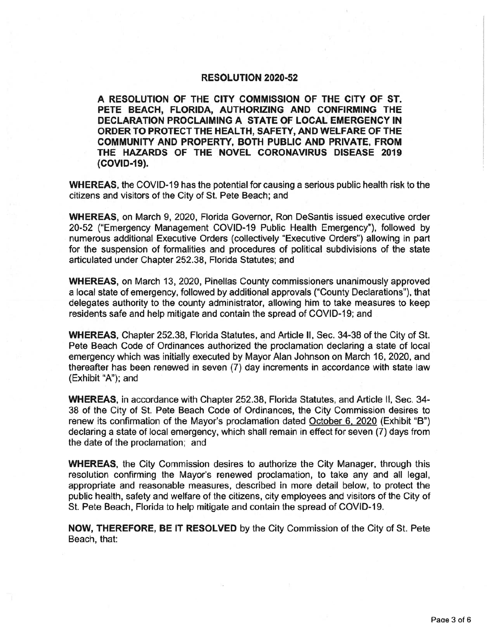## **RESOLUTION 2020-52**

A RESOLUTION OF THE CITY COMMISSION OF THE CITY OF ST. PETE BEACH, FLORIDA, AUTHORIZING AND CONFIRMING THE DECLARATION PROCLAIMING A STATE OF LOCAL EMERGENCY IN ORDER TO PROTECT THE HEALTH, SAFETY, AND WELFARE OF THE COMMUNITY AND PROPERTY, BOTH PUBLIC AND PRIVATE, FROM THE HAZARDS OF THE NOVEL CORONAVIRUS DISEASE 2019 (COVID-19).

WHEREAS, the COVID-19 has the potential for causing a serious public health risk to the citizens and visitors of the City of St. Pete Beach; and

WHEREAS, on March 9, 2020, Florida Governor, Ron DeSantis issued executive order 20-52 ("Emergency Management COVID-19 Public Health Emergency"), followed by numerous additional Executive Orders (collectively "Executive Orders") allowing in part for the suspension of formalities and procedures of political subdivisions of the state articulated under Chapter 252. 38, Florida Statutes; and

WHEREAS, on March 13, 2020, Pinellas County commissioners unanimously approved a local state of emergency, followed by additional approvals (" County Declarations"), that delegates authority to the county administrator, allowing him to take measures to keep residents safe and help mitigate and contain the spread of COVID- 19; and

WHEREAS, Chapter 252.38, Florida Statutes, and Article II, Sec. 34-38 of the City of St. Pete Beach Code of Ordinances authorized the proclamation declaring a state of local emergency which was initially executed by Mayor Alan Johnson on March 16, 2020, and thereafter has been renewed in seven (7) day increments in accordance with state law (Exhibit "A"); and

WHEREAS, in accordance with Chapter 252. 38, Florida Statutes, and Article II, Sec. 34- 38 of the City of St. Pete Beach Code of Ordinances, the City Commission desires to renew its confirmation of the Mayor's proclamation dated October 6, 2020 (Exhibit "B") declaring a state of local emergency, which shall remain in effect for seven (7) days from the date of the proclamation; and

WHEREAS, the City Commission desires to authorize the City Manager, through this resolution confirming the Mayor's renewed proclamation, to take any and all legal, appropriate and reasonable measures, described in more detail below, to protect the public health, safety and welfare of the citizens, city employees and visitors of the City of St. Pete Beach, Florida to help mitigate and contain the spread of COVID- 19.

NOW, THEREFORE, BE IT RESOLVED by the City Commission of the City of St. Pete Beach, that: